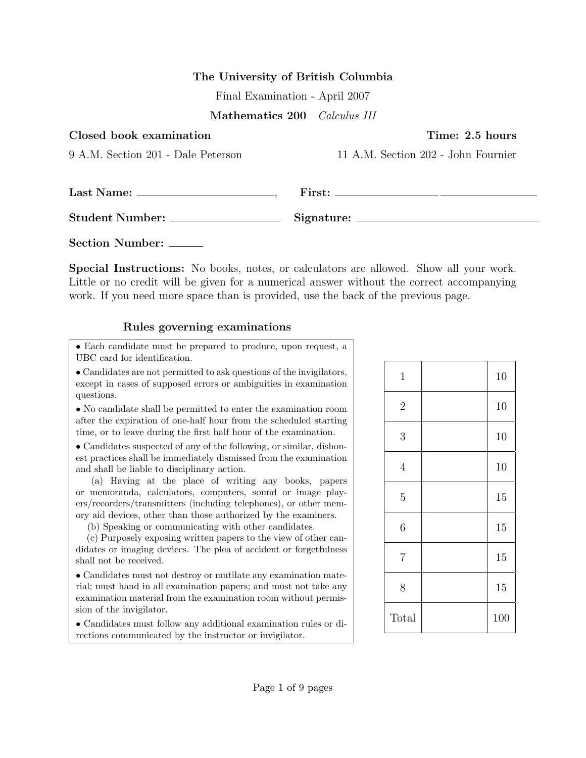## The University of British Columbia

Final Examination - April 2007

Mathematics 200 Calculus III

| Closed book examination            | Time: 2.5 hours                                                           |  |
|------------------------------------|---------------------------------------------------------------------------|--|
| 9 A.M. Section 201 - Dale Peterson | 11 A.M. Section 202 - John Fournier                                       |  |
|                                    | $First: \_\_\_\_\_\_\_\_\_\_\_\_\_\_\_\_\_\_\_\_\_\_\_\_\_\_\_\_\_\_\_\_$ |  |
|                                    |                                                                           |  |
| Section Number:                    |                                                                           |  |

Special Instructions: No books, notes, or calculators are allowed. Show all your work. Little or no credit will be given for a numerical answer without the correct accompanying work. If you need more space than is provided, use the back of the previous page.

## Rules governing examinations

• Each candidate must be prepared to produce, upon request, a UBC card for identification.

• Candidates are not permitted to ask questions of the invigilators, except in cases of supposed errors or ambiguities in examination questions.

• No candidate shall be permitted to enter the examination room after the expiration of one-half hour from the scheduled starting time, or to leave during the first half hour of the examination.

• Candidates suspected of any of the following, or similar, dishonest practices shall be immediately dismissed from the examination and shall be liable to disciplinary action.

(a) Having at the place of writing any books, papers or memoranda, calculators, computers, sound or image players/recorders/transmitters (including telephones), or other memory aid devices, other than those authorized by the examiners.

(b) Speaking or communicating with other candidates.

(c) Purposely exposing written papers to the view of other candidates or imaging devices. The plea of accident or forgetfulness shall not be received.

• Candidates must not destroy or mutilate any examination material; must hand in all examination papers; and must not take any examination material from the examination room without permission of the invigilator.

• Candidates must follow any additional examination rules or directions communicated by the instructor or invigilator.

| $\,1$          | 10  |
|----------------|-----|
| $\sqrt{2}$     | 10  |
| 3              | 10  |
| $\overline{4}$ | 10  |
| $\overline{5}$ | 15  |
| 6              | 15  |
| $\overline{7}$ | 15  |
| 8              | 15  |
| Total          | 100 |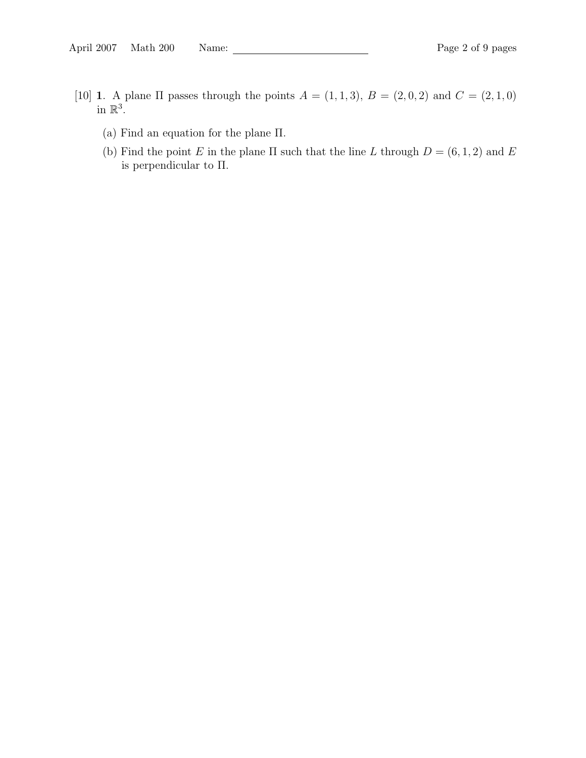- [10] 1. A plane  $\Pi$  passes through the points  $A = (1, 1, 3), B = (2, 0, 2)$  and  $C = (2, 1, 0)$ in  $\mathbb{R}^3$ .
	- (a) Find an equation for the plane Π.
	- (b) Find the point E in the plane  $\Pi$  such that the line L through  $D = (6, 1, 2)$  and E is perpendicular to Π.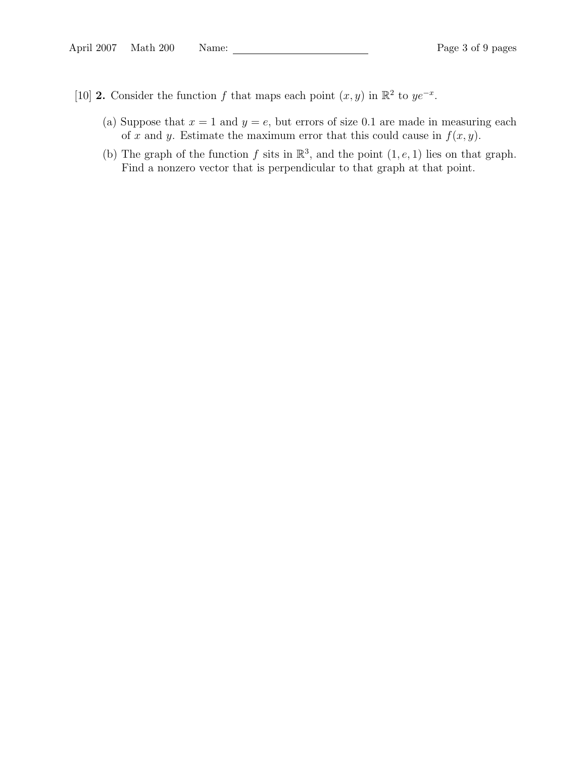- [10] **2.** Consider the function f that maps each point  $(x, y)$  in  $\mathbb{R}^2$  to  $ye^{-x}$ .
	- (a) Suppose that  $x = 1$  and  $y = e$ , but errors of size 0.1 are made in measuring each of x and y. Estimate the maximum error that this could cause in  $f(x, y)$ .
	- (b) The graph of the function f sits in  $\mathbb{R}^3$ , and the point  $(1, e, 1)$  lies on that graph. Find a nonzero vector that is perpendicular to that graph at that point.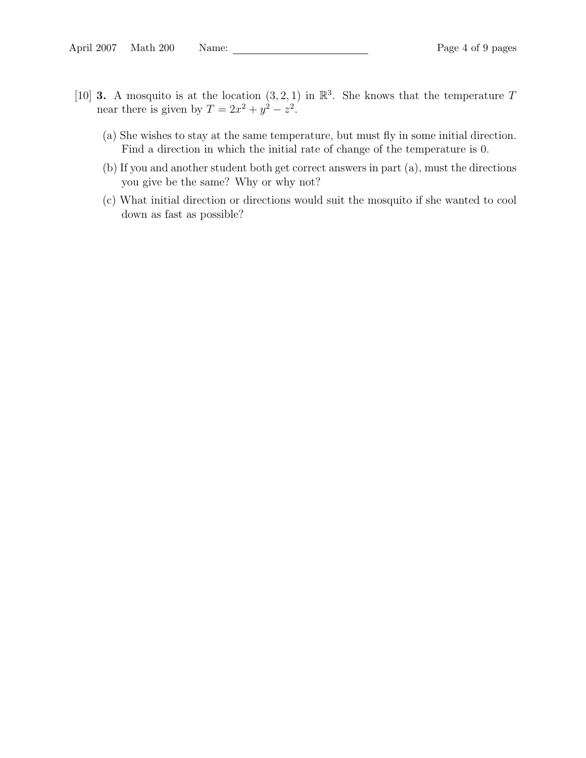- [10] **3.** A mosquito is at the location  $(3, 2, 1)$  in  $\mathbb{R}^3$ . She knows that the temperature T near there is given by  $T = 2x^2 + y^2 - z^2$ .
	- (a) She wishes to stay at the same temperature, but must fly in some initial direction. Find a direction in which the initial rate of change of the temperature is 0.
	- (b) If you and another student both get correct answers in part (a), must the directions you give be the same? Why or why not?
	- (c) What initial direction or directions would suit the mosquito if she wanted to cool down as fast as possible?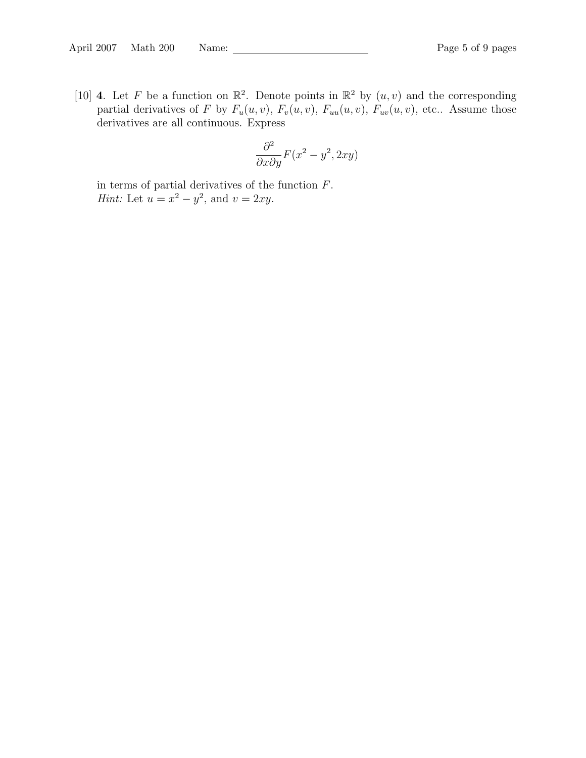[10] **4**. Let F be a function on  $\mathbb{R}^2$ . Denote points in  $\mathbb{R}^2$  by  $(u, v)$  and the corresponding partial derivatives of F by  $F_u(u, v)$ ,  $F_v(u, v)$ ,  $F_{uu}(u, v)$ ,  $F_{uv}(u, v)$ , etc.. Assume those derivatives are all continuous. Express

$$
\frac{\partial^2}{\partial x \partial y} F(x^2 - y^2, 2xy)
$$

in terms of partial derivatives of the function  ${\cal F}.$ *Hint*: Let  $u = x^2 - y^2$ , and  $v = 2xy$ .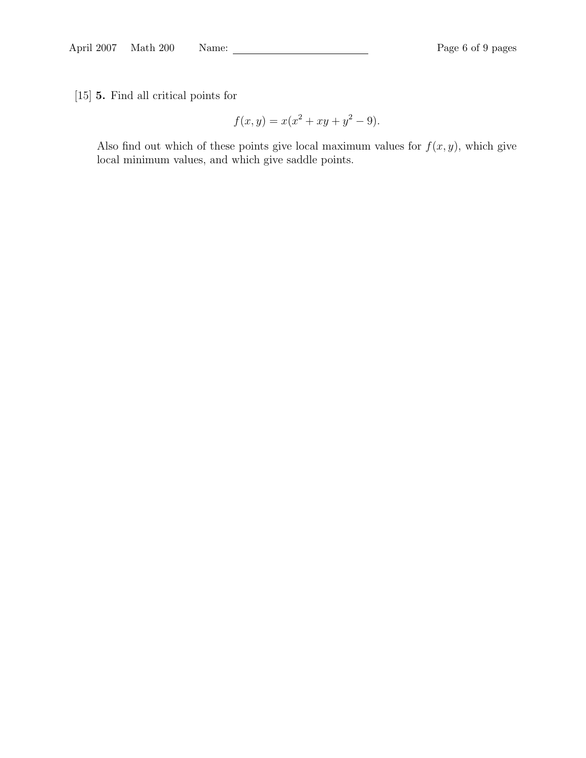[15] 5. Find all critical points for

$$
f(x, y) = x(x^2 + xy + y^2 - 9).
$$

Also find out which of these points give local maximum values for  $f(x, y)$ , which give local minimum values, and which give saddle points.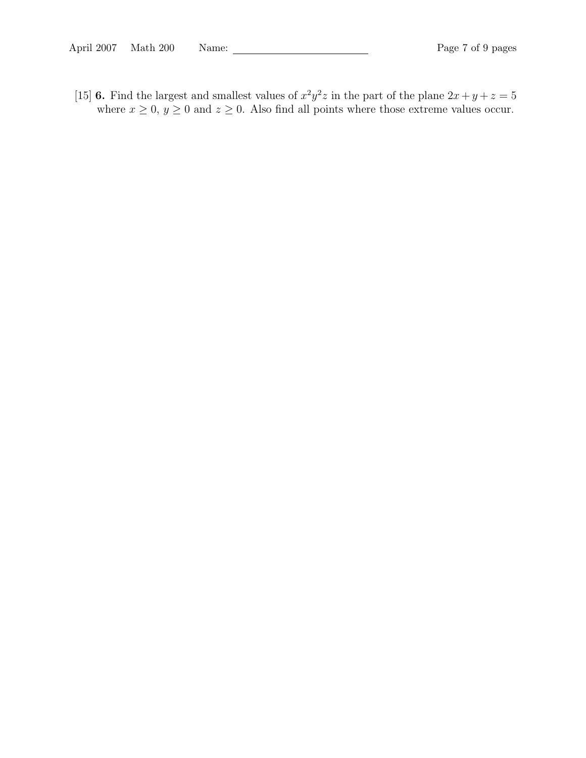[15] 6. Find the largest and smallest values of  $x^2y^2z$  in the part of the plane  $2x + y + z = 5$ where  $x \ge 0$ ,  $y \ge 0$  and  $z \ge 0$ . Also find all points where those extreme values occur.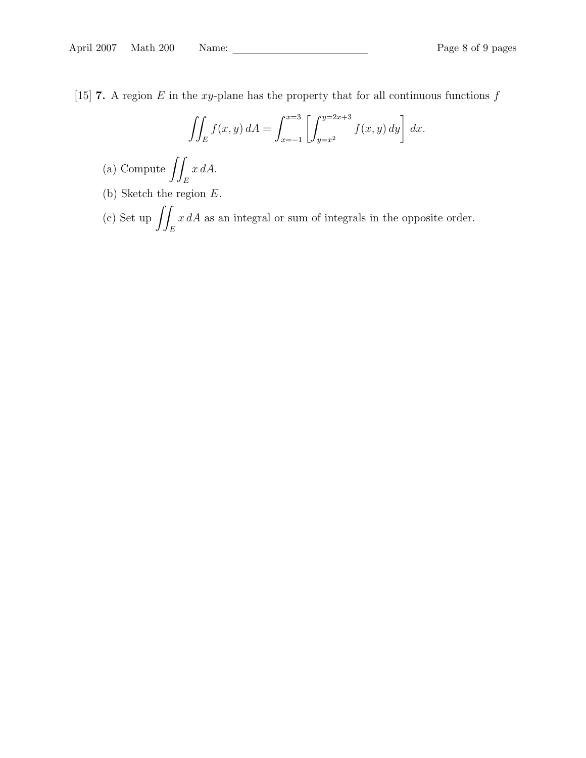[15] **7.** A region E in the xy-plane has the property that for all continuous functions  $f$ 

$$
\iint_E f(x, y) dA = \int_{x=-1}^{x=3} \left[ \int_{y=x^2}^{y=2x+3} f(x, y) dy \right] dx.
$$

- (a) Compute  $\int$ E x dA.
- (b) Sketch the region E.
- (c) Set up  $\int$ E  $x dA$  as an integral or sum of integrals in the opposite order.